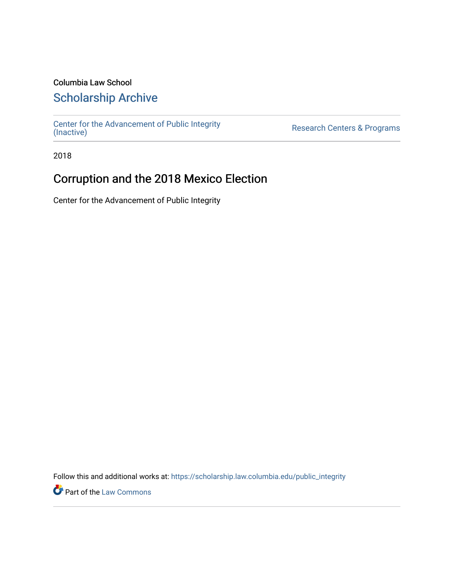### Columbia Law School

## [Scholarship Archive](https://scholarship.law.columbia.edu/)

[Center for the Advancement of Public Integrity](https://scholarship.law.columbia.edu/public_integrity)<br>(Inactive)

Research Centers & Programs

2018

## Corruption and the 2018 Mexico Election

Center for the Advancement of Public Integrity

Follow this and additional works at: [https://scholarship.law.columbia.edu/public\\_integrity](https://scholarship.law.columbia.edu/public_integrity?utm_source=scholarship.law.columbia.edu%2Fpublic_integrity%2F27&utm_medium=PDF&utm_campaign=PDFCoverPages)

**Part of the [Law Commons](http://network.bepress.com/hgg/discipline/578?utm_source=scholarship.law.columbia.edu%2Fpublic_integrity%2F27&utm_medium=PDF&utm_campaign=PDFCoverPages)**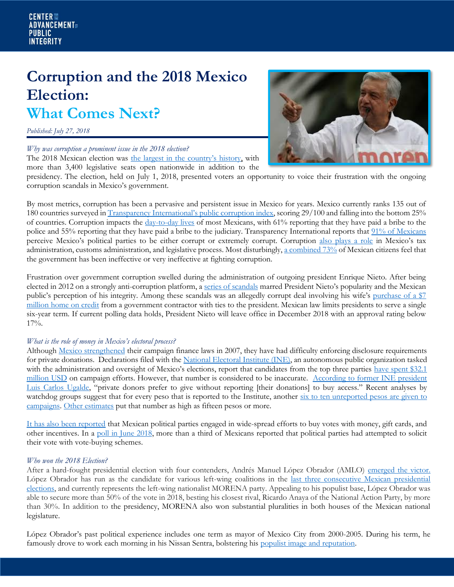# **Corruption and the 2018 Mexico Election: What Comes Next?**

*Published: July 27, 2018*

#### *Why was corruption a prominent issue in the 2018 election?*

The 2018 Mexican election was [the largest in the country's history](https://www.vox.com/world/2018/6/30/17514176/mexico-2018-president-election-lopez-obrador), with more than 3,400 legislative seats open nationwide in addition to the



presidency. The election, held on July 1, 2018, presented voters an opportunity to voice their frustration with the ongoing corruption scandals in Mexico's government.

By most metrics, corruption has been a pervasive and persistent issue in Mexico for years. Mexico currently ranks 135 out of 180 countries surveyed in [Transparency International's public corruption index](https://www.transparency.org/country/MEX), scoring 29/100 and falling into the bottom 25% of countries. Corruption impacts the [day-to-day lives](https://www.transparency.org/gcb2013/country?country=mexico) of most Mexicans, with 61% reporting that they have paid a bribe to the police and 55% reporting that they have paid a bribe to the judiciary. Transparency International reports tha[t 91% of Mexicans](https://www.transparency.org/gcb2013/country?country=mexico) perceive Mexico's political parties to be either corrupt or extremely corrupt. Corruption [also plays a role](https://www.business-anti-corruption.com/country-profiles/mexico/) in Mexico's tax administration, customs administration, and legislative process. Most disturbingly[, a combined 73%](https://www.transparency.org/gcb2013/country?country=mexico) of Mexican citizens feel that the government has been ineffective or very ineffective at fighting corruption.

Frustration over government corruption swelled during the administration of outgoing president Enrique Nieto. After being elected in 2012 on a strongly anti-corruption platform, a [series of scandals](http://www.latimes.com/world/mexico-americas/la-fg-mexico-president-20170301-story.html) marred President Nieto's popularity and the Mexican public's perception of his integrity. Among these scandals was an allegedly corrupt deal involving his wife's [purchase of a \\$7](https://www.theguardian.com/world/2016/jul/18/mexico-president-apologizes-luxury-home-contractor)  [million home on credit](https://www.theguardian.com/world/2016/jul/18/mexico-president-apologizes-luxury-home-contractor) from a government contractor with ties to the president. Mexican law limits presidents to serve a single six-year term. If current polling data holds, President Nieto will leave office in December 2018 with an approval rating below 17%.

#### *What is the role of money in Mexico's electoral process?*

Although [Mexico strengthened](http://digitalcommons.law.yale.edu/cgi/viewcontent.cgi?article=1363&context=fss_papers) their campaign finance laws in 2007, they have had difficulty enforcing disclosure requirements for private donations. Declarations filed with the [National Electoral Institute \(INE\),](https://www.ine.mx/) an autonomous public organization tasked with the administration and oversight of Mexico's elections, report that candidates from the top three parties have spent \$32.1 [million USD](https://www.reuters.com/article/us-mexico-election-financing/anti-corruption-watchdogs-wonder-who-is-funding-mexicos-presidential-candidates-idUSKBN1JP0GG) on campaign efforts. However, that number is considered to be inaccurate. According to former INE president [Luis Carlos Ugalde](https://www.reuters.com/article/us-mexico-election-financing/anti-corruption-watchdogs-wonder-who-is-funding-mexicos-presidential-candidates-idUSKBN1JP0GG), "private donors prefer to give without reporting [their donations] to buy access." Recent analyses by watchdog groups suggest that for every peso that is reported to the Institute, another six to [ten unreported](http://www.americasquarterly.org/content/shadow-over-mexicos-2018-elections) pesos are given to campaigns. [Other estimates](https://www.reuters.com/article/us-mexico-election-financing/anti-corruption-watchdogs-wonder-who-is-funding-mexicos-presidential-candidates-idUSKBN1JP0GG) put that number as high as fifteen pesos or more.

[It has also been reported](http://www.latimes.com/world/la-fg-mexico-tortilla-war-20180228-story.html) that Mexican political parties engaged in wide-spread efforts to buy votes with money, gift cards, and other incentives. In a [poll in June 2018,](https://www.reuters.com/article/us-mexico-election-financing/anti-corruption-watchdogs-wonder-who-is-funding-mexicos-presidential-candidates-idUSKBN1JP0GG) more than a third of Mexicans reported that political parties had attempted to solicit their vote with vote-buying schemes.

#### *Who won the 2018 Election?*

After a hard-fought presidential election with four contenders, Andrés Manuel López Obrador (AMLO) [emerged the victor.](https://www.bloomberg.com/graphics/2018-mexican-election/) López Obrador has run as the candidate for various left-wing coalitions in the [last three consecutive Mexican presidential](https://www.vox.com/world/2018/6/30/17514176/mexico-2018-president-election-lopez-obrador)  [elections,](https://www.vox.com/world/2018/6/30/17514176/mexico-2018-president-election-lopez-obrador) and currently represents the left-wing nationalist MORENA party. Appealing to his populist base, López Obrador was able to secure more than 50% of the vote in 2018, besting his closest rival, Ricardo Anaya of the National Action Party, by more than 30%. In addition to the presidency, MORENA also won substantial pluralities in both houses of the Mexican national legislature.

López Obrador's past political experience includes one term as mayor of Mexico City from 2000-2005. During his term, he famously drove to work each morning in his Nissan Sentra, bolstering his [populist image and reputation.](https://www.washingtonpost.com/world/the_americas/a-mexican-populist-rises-to-face-trumps-america/2017/02/15/32ab8da2-f1f4-11e6-9fb1-2d8f3fc9c0ed_story.html?utm_term=.62c63bd317f0)